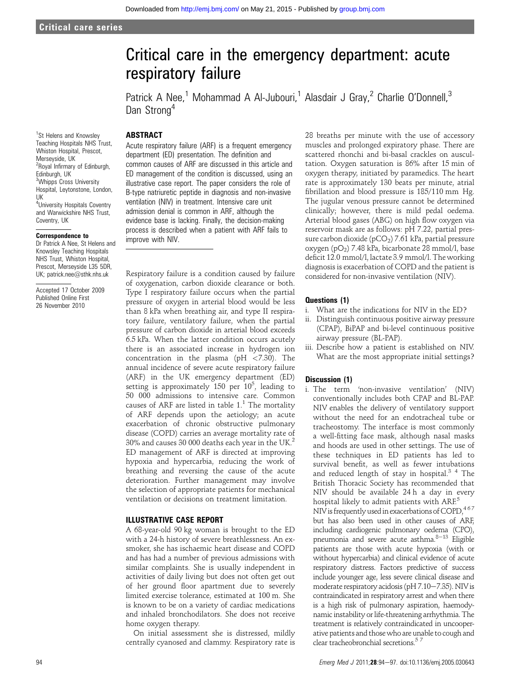# Critical care in the emergency department: acute respiratory failure

Patrick A Nee,<sup>1</sup> Mohammad A Al-Jubouri,<sup>1</sup> Alasdair J Gray,<sup>2</sup> Charlie O'Donnell,<sup>3</sup> Dan Strong<sup>4</sup>

### ABSTRACT

Acute respiratory failure (ARF) is a frequent emergency department (ED) presentation. The definition and common causes of ARF are discussed in this article and ED management of the condition is discussed, using an illustrative case report. The paper considers the role of B-type natriuretic peptide in diagnosis and non-invasive ventilation (NIV) in treatment. Intensive care unit admission denial is common in ARF, although the evidence base is lacking. Finally, the decision-making process is described when a patient with ARF fails to improve with NIV.

Correspondence to Dr Patrick A Nee, St Helens and Knowsley Teaching Hospitals NHS Trust, Whiston Hospital, Prescot, Merseyside L35 5DR, UK; patrick.nee@sthk.nhs.uk

<sup>1</sup>St Helens and Knowsley Teaching Hospitals NHS Trust, Whiston Hospital, Prescot, Merseyside, UK

<sup>2</sup> Royal Infirmary of Edinburgh,

Edinburgh, UK <sup>3</sup>Whipps Cross University Hospital, Leytonstone, London, UK<br><sup>4</sup>University Hospitals Coventry and Warwickshire NHS Trust,

Coventry, UK

Accepted 17 October 2009 Published Online First 26 November 2010

Respiratory failure is a condition caused by failure of oxygenation, carbon dioxide clearance or both. Type I respiratory failure occurs when the partial pressure of oxygen in arterial blood would be less than 8 kPa when breathing air, and type II respiratory failure, ventilatory failure, when the partial pressure of carbon dioxide in arterial blood exceeds 6.5 kPa. When the latter condition occurs acutely there is an associated increase in hydrogen ion concentration in the plasma (pH  $\langle 7.30 \rangle$ . The annual incidence of severe acute respiratory failure (ARF) in the UK emergency department (ED) setting is approximately  $150$  per  $10^5$ , leading to 50 000 admissions to intensive care. Common causes of ARF are listed in table  $1<sup>1</sup>$  The mortality of ARF depends upon the aetiology; an acute exacerbation of chronic obstructive pulmonary disease (COPD) carries an average mortality rate of 30% and causes 30 000 deaths each year in the UK.2 ED management of ARF is directed at improving hypoxia and hypercarbia, reducing the work of breathing and reversing the cause of the acute deterioration. Further management may involve the selection of appropriate patients for mechanical ventilation or decisions on treatment limitation.

# ILLUSTRATIVE CASE REPORT

A 68-year-old 90 kg woman is brought to the ED with a 24-h history of severe breathlessness. An exsmoker, she has ischaemic heart disease and COPD and has had a number of previous admissions with similar complaints. She is usually independent in activities of daily living but does not often get out of her ground floor apartment due to severely limited exercise tolerance, estimated at 100 m. She is known to be on a variety of cardiac medications and inhaled bronchodilators. She does not receive home oxygen therapy.

On initial assessment she is distressed, mildly centrally cyanosed and clammy. Respiratory rate is 28 breaths per minute with the use of accessory muscles and prolonged expiratory phase. There are scattered rhonchi and bi-basal crackles on auscultation. Oxygen saturation is 86% after 15 min of oxygen therapy, initiated by paramedics. The heart rate is approximately 130 beats per minute, atrial fibrillation and blood pressure is 185/110 mm Hg. The jugular venous pressure cannot be determined clinically; however, there is mild pedal oedema. Arterial blood gases (ABG) on high flow oxygen via reservoir mask are as follows: pH 7.22, partial pressure carbon dioxide (pCO<sub>2</sub>) 7.61 kPa, partial pressure oxygen (p $O_2$ ) 7.48 kPa, bicarbonate 28 mmol/l, base deficit 12.0 mmol/l, lactate 3.9 mmol/l. The working diagnosis is exacerbation of COPD and the patient is considered for non-invasive ventilation (NIV).

#### Questions (1)

- i. What are the indications for NIV in the ED?
- ii. Distinguish continuous positive airway pressure (CPAP), BiPAP and bi-level continuous positive airway pressure (BL-PAP).
- iii. Describe how a patient is established on NIV. What are the most appropriate initial settings?

#### Discussion (1)

i. The term 'non-invasive ventilation' (NIV) conventionally includes both CPAP and BL-PAP. NIV enables the delivery of ventilatory support without the need for an endotracheal tube or tracheostomy. The interface is most commonly a well-fitting face mask, although nasal masks and hoods are used in other settings. The use of these techniques in ED patients has led to survival benefit, as well as fewer intubations and reduced length of stay in hospital.<sup>3</sup> <sup>4</sup> The British Thoracic Society has recommended that NIV should be available 24 h a day in every hospital likely to admit patients with ARF.<sup>5</sup> NIV is frequently used in exacerbations of COPD.<sup>467</sup> but has also been used in other causes of ARF, including cardiogenic pulmonary oedema (CPO), pneumonia and severe acute asthma. $8-13$  Eligible patients are those with acute hypoxia (with or without hypercarbia) and clinical evidence of acute respiratory distress. Factors predictive of success include younger age, less severe clinical disease and moderate respiratory acidosis (pH 7.10-7.35). NIV is contraindicated in respiratory arrest and when there is a high risk of pulmonary aspiration, haemodynamic instability or life-threatening arrhythmia. The treatment is relatively contraindicated in uncooperative patients and those who are unable to cough and clear tracheobronchial secretions.5 7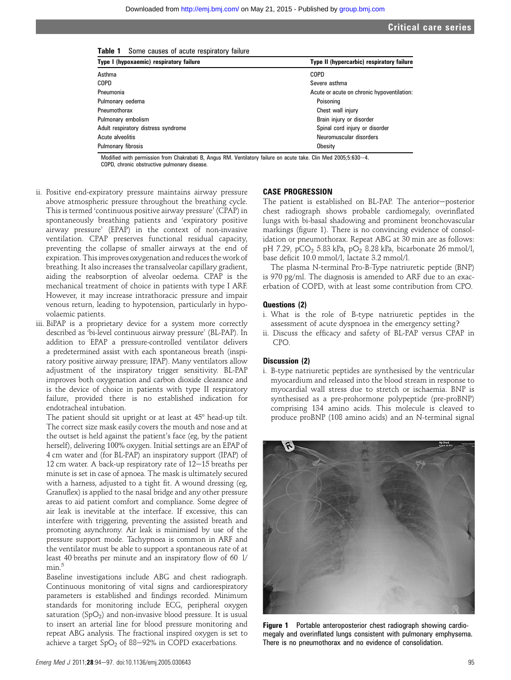| Type II (hypercarbic) respiratory failure  |
|--------------------------------------------|
|                                            |
| COPD                                       |
| Severe asthma                              |
| Acute or acute on chronic hypoventilation: |
| Poisoning                                  |
| Chest wall injury                          |
| Brain injury or disorder                   |
| Spinal cord injury or disorder             |
| Neuromuscular disorders                    |
| <b>Obesity</b>                             |
|                                            |

Table 1 Some causes of acute respiratory failure

Modified with permission from Chakrabati B, Angus RM. Ventilatory failure on acute take. Clin Med 2005;5:630-4. COPD, chronic obstructive pulmonary disease.

- ii. Positive end-expiratory pressure maintains airway pressure above atmospheric pressure throughout the breathing cycle. This is termed 'continuous positive airway pressure' (CPAP) in spontaneously breathing patients and 'expiratory positive airway pressure' (EPAP) in the context of non-invasive ventilation. CPAP preserves functional residual capacity, preventing the collapse of smaller airways at the end of expiration. This improves oxygenation and reduces the work of breathing. It also increases the transalveolar capillary gradient, aiding the reabsorption of alveolar oedema. CPAP is the mechanical treatment of choice in patients with type I ARF. However, it may increase intrathoracic pressure and impair venous return, leading to hypotension, particularly in hypovolaemic patients.
- iii. BiPAP is a proprietary device for a system more correctly described as 'bi-level continuous airway pressure' (BL-PAP). In addition to EPAP a pressure-controlled ventilator delivers a predetermined assist with each spontaneous breath (inspiratory positive airway pressure; IPAP). Many ventilators allow adjustment of the inspiratory trigger sensitivity. BL-PAP improves both oxygenation and carbon dioxide clearance and is the device of choice in patients with type II respiratory failure, provided there is no established indication for endotracheal intubation.

The patient should sit upright or at least at 45° head-up tilt. The correct size mask easily covers the mouth and nose and at the outset is held against the patient's face (eg, by the patient herself), delivering 100% oxygen. Initial settings are an EPAP of 4 cm water and (for BL-PAP) an inspiratory support (IPAP) of 12 cm water. A back-up respiratory rate of  $12-15$  breaths per minute is set in case of apnoea. The mask is ultimately secured with a harness, adjusted to a tight fit. A wound dressing (eg, Granuflex) is applied to the nasal bridge and any other pressure areas to aid patient comfort and compliance. Some degree of air leak is inevitable at the interface. If excessive, this can interfere with triggering, preventing the assisted breath and promoting asynchrony. Air leak is minimised by use of the pressure support mode. Tachypnoea is common in ARF and the ventilator must be able to support a spontaneous rate of at least 40 breaths per minute and an inspiratory flow of 60 l/ min.<sup>5</sup>

Baseline investigations include ABG and chest radiograph. Continuous monitoring of vital signs and cardiorespiratory parameters is established and findings recorded. Minimum standards for monitoring include ECG, peripheral oxygen saturation (SpO<sub>2</sub>) and non-invasive blood pressure. It is usual to insert an arterial line for blood pressure monitoring and repeat ABG analysis. The fractional inspired oxygen is set to achieve a target  $SpO<sub>2</sub>$  of 88–92% in COPD exacerbations.

# CASE PROGRESSION

The patient is established on BL-PAP. The anterior-posterior chest radiograph shows probable cardiomegaly, overinflated lungs with bi-basal shadowing and prominent bronchovascular markings (figure 1). There is no convincing evidence of consolidation or pneumothorax. Repeat ABG at 30 min are as follows: pH 7.29, pCO<sub>2</sub> 5.83 kPa, pO<sub>2</sub> 8.28 kPa, bicarbonate 26 mmol/l, base deficit 10.0 mmol/l, lactate 3.2 mmol/l.

The plasma N-terminal Pro-B-Type natriuretic peptide (BNP) is 970 pg/ml. The diagnosis is amended to ARF due to an exacerbation of COPD, with at least some contribution from CPO.

#### Questions (2)

- i. What is the role of B-type natriuretic peptides in the assessment of acute dyspnoea in the emergency setting?
- ii. Discuss the efficacy and safety of BL-PAP versus CPAP in CPO.

#### Discussion (2)

i. B-type natriuretic peptides are synthesised by the ventricular myocardium and released into the blood stream in response to myocardial wall stress due to stretch or ischaemia. BNP is synthesised as a pre-prohormone polypeptide (pre-proBNP) comprising 134 amino acids. This molecule is cleaved to produce proBNP (108 amino acids) and an N-terminal signal



Figure 1 Portable anteroposterior chest radiograph showing cardiomegaly and overinflated lungs consistent with pulmonary emphysema. There is no pneumothorax and no evidence of consolidation.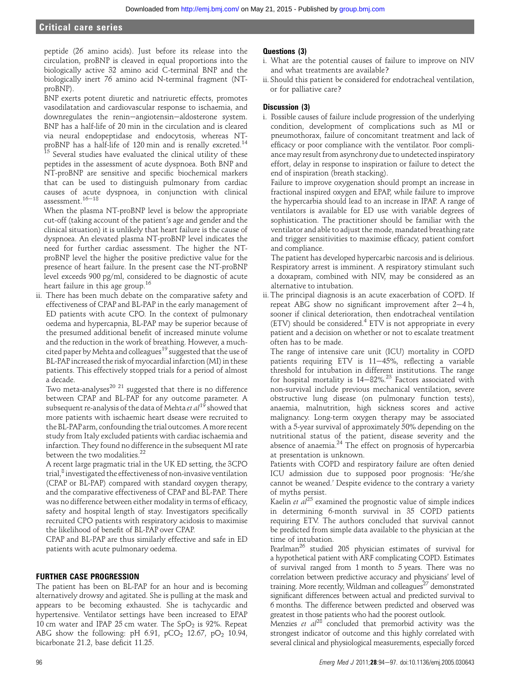# Critical care series

peptide (26 amino acids). Just before its release into the circulation, proBNP is cleaved in equal proportions into the biologically active 32 amino acid C-terminal BNP and the biologically inert 76 amino acid N-terminal fragment (NTproBNP).

BNP exerts potent diuretic and natriuretic effects, promotes vasodilatation and cardiovascular response to ischaemia, and downregulates the renin-angiotensin-aldosterone system. BNP has a half-life of 20 min in the circulation and is cleared via neural endopeptidase and endocytosis, whereas NTproBNP has a half-life of 120 min and is renally excreted.<sup>14</sup><br><sup>15</sup> Several and is renally excreted.<sup>14</sup>

Several studies have evaluated the clinical utility of these peptides in the assessment of acute dyspnoea. Both BNP and NT-proBNP are sensitive and specific biochemical markers that can be used to distinguish pulmonary from cardiac causes of acute dyspnoea, in conjunction with clinical assessment. $16-18$ 

When the plasma NT-proBNP level is below the appropriate cut-off (taking account of the patient's age and gender and the clinical situation) it is unlikely that heart failure is the cause of dyspnoea. An elevated plasma NT-proBNP level indicates the need for further cardiac assessment. The higher the NTproBNP level the higher the positive predictive value for the presence of heart failure. In the present case the NT-proBNP level exceeds 900 pg/ml, considered to be diagnostic of acute heart failure in this age group.<sup>16</sup>

ii. There has been much debate on the comparative safety and effectiveness of CPAP and BL-PAP in the early management of ED patients with acute CPO. In the context of pulmonary oedema and hypercapnia, BL-PAP may be superior because of the presumed additional benefit of increased minute volume and the reduction in the work of breathing. However, a muchcited paper by Mehta and colleagues<sup>19</sup> suggested that the use of BL-PAP increased the risk of myocardial infarction (MI) in these patients. This effectively stopped trials for a period of almost a decade.

Two meta-analyses<sup>20 21</sup> suggested that there is no difference between CPAP and BL-PAP for any outcome parameter. A subsequent re-analysis of the data of Mehta et al<sup>19</sup> showed that more patients with ischaemic heart dsease were recruited to the BL-PAParm, confounding the trial outcomes. A more recent study from Italy excluded patients with cardiac ischaemia and infarction. They found no difference in the subsequent MI rate between the two modalities.<sup>22</sup>

A recent large pragmatic trial in the UK ED setting, the 3CPO trial, $8$  investigated the effectiveness of non-invasive ventilation (CPAP or BL-PAP) compared with standard oxygen therapy, and the comparative effectiveness of CPAP and BL-PAP. There was no difference between either modality in terms of efficacy, safety and hospital length of stay. Investigators specifically recruited CPO patients with respiratory acidosis to maximise the likelihood of benefit of BL-PAP over CPAP.

CPAP and BL-PAP are thus similarly effective and safe in ED patients with acute pulmonary oedema.

# FURTHER CASE PROGRESSION

The patient has been on BL-PAP for an hour and is becoming alternatively drowsy and agitated. She is pulling at the mask and appears to be becoming exhausted. She is tachycardic and hypertensive. Ventilator settings have been increased to EPAP 10 cm water and IPAP 25 cm water. The  $SpO<sub>2</sub>$  is 92%. Repeat ABG show the following: pH 6.91, pCO<sub>2</sub> 12.67, pO<sub>2</sub> 10.94, bicarbonate 21.2, base deficit 11.25.

# Questions (3)

- i. What are the potential causes of failure to improve on NIV and what treatments are available?
- ii. Should this patient be considered for endotracheal ventilation, or for palliative care?

# Discussion (3)

i. Possible causes of failure include progression of the underlying condition, development of complications such as MI or pneumothorax, failure of concomitant treatment and lack of efficacy or poor compliance with the ventilator. Poor compliance may result from asynchrony due to undetected inspiratory effort, delay in response to inspiration or failure to detect the end of inspiration (breath stacking).

Failure to improve oxygenation should prompt an increase in fractional inspired oxygen and EPAP, while failure to improve the hypercarbia should lead to an increase in IPAP. A range of ventilators is available for ED use with variable degrees of sophistication. The practitioner should be familiar with the ventilator and able to adjust the mode, mandated breathing rate and trigger sensitivities to maximise efficacy, patient comfort and compliance.

The patient has developed hypercarbic narcosis and is delirious. Respiratory arrest is imminent. A respiratory stimulant such a doxapram, combined with NIV, may be considered as an alternative to intubation.

ii. The principal diagnosis is an acute exacerbation of COPD. If repeat ABG show no significant improvement after  $2-4$  h, sooner if clinical deterioration, then endotracheal ventilation  $(ETV)$  should be considered.<sup>4</sup> ETV is not appropriate in every patient and a decision on whether or not to escalate treatment often has to be made.

The range of intensive care unit (ICU) mortality in COPD patients requiring ETV is 11-45%, reflecting a variable threshold for intubation in different institutions. The range for hospital mortality is  $14-82\%$ .<sup>23</sup> Factors associated with non-survival include previous mechanical ventilation, severe obstructive lung disease (on pulmonary function tests), anaemia, malnutrition, high sickness scores and active malignancy. Long-term oxygen therapy may be associated with a 5-year survival of approximately 50% depending on the nutritional status of the patient, disease severity and the absence of anaemia.<sup>24</sup> The effect on prognosis of hypercarbia at presentation is unknown.

Patients with COPD and respiratory failure are often denied ICU admission due to supposed poor prognosis: 'He/she cannot be weaned.' Despite evidence to the contrary a variety of myths persist.

Kaelin et  $al^{25}$  examined the prognostic value of simple indices in determining 6-month survival in 35 COPD patients requiring ETV. The authors concluded that survival cannot be predicted from simple data available to the physician at the time of intubation.

Pearlman<sup>26</sup> studied 205 physician estimates of survival for a hypothetical patient with ARF complicating COPD. Estimates of survival ranged from 1 month to 5 years. There was no correlation between predictive accuracy and physicians' level of training. More recently, Wildman and colleagues<sup>27</sup> demonstrated significant differences between actual and predicted survival to 6 months. The difference between predicted and observed was greatest in those patients who had the poorest outlook.

Menzies et  $al^{28}$  concluded that premorbid activity was the strongest indicator of outcome and this highly correlated with several clinical and physiological measurements, especially forced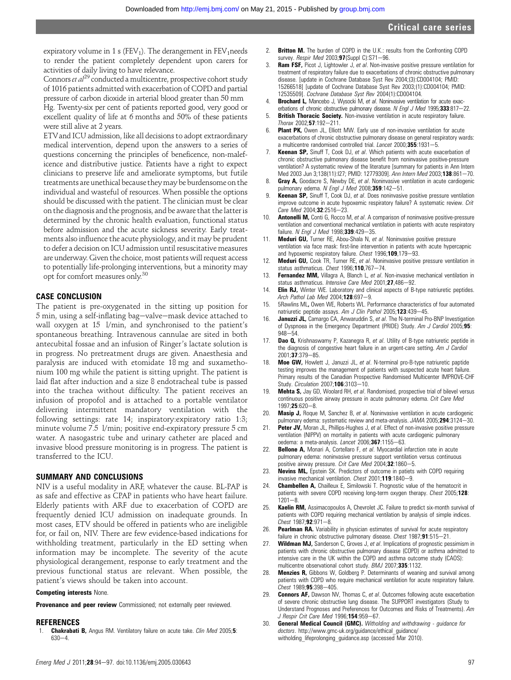expiratory volume in 1 s (FEV<sub>1</sub>). The derangement in  $FEV_1$ needs to render the patient completely dependent upon carers for activities of daily living to have relevance.

Connors et  $al^{29}$  conducted a multicentre, prospective cohort study of 1016 patients admitted with exacerbation of COPD and partial pressure of carbon dioxide in arterial blood greater than 50 mm

Hg. Twenty-six per cent of patients reported good, very good or excellent quality of life at 6 months and 50% of these patients were still alive at 2 years.

ETVand ICU admission, like all decisions to adopt extraordinary medical intervention, depend upon the answers to a series of questions concerning the principles of beneficence, non-maleficence and distributive justice. Patients have a right to expect clinicians to preserve life and ameliorate symptoms, but futile treatments are unethical because theymay be burdensome on the individual and wasteful of resources. When possible the options should be discussed with the patient. The clinician must be clear on the diagnosis and the prognosis, and be aware that the latter is determined by the chronic health evaluation, functional status before admission and the acute sickness severity. Early treatments also influence the acute physiology, and it may be prudent to defer a decision on ICU admission until resuscitative measures are underway. Given the choice, most patients will request access to potentially life-prolonging interventions, but a minority may opt for comfort measures only.30

#### CASE CONCLUSION

The patient is pre-oxygenated in the sitting up position for 5 min, using a self-inflating bag-valve-mask device attached to wall oxygen at 15 l/min, and synchronised to the patient's spontaneous breathing. Intravenous cannulae are sited in both antecubital fossae and an infusion of Ringer's lactate solution is in progress. No pretreatment drugs are given. Anaesthesia and paralysis are induced with etomidate 18 mg and suxamethonium 100 mg while the patient is sitting upright. The patient is laid flat after induction and a size 8 endotracheal tube is passed into the trachea without difficulty. The patient receives an infusion of propofol and is attached to a portable ventilator delivering intermittent mandatory ventilation with the following settings: rate 14; inspiratory:expiratory ratio 1:3; minute volume 7.5 l/min; positive end-expiratory pressure 5 cm water. A nasogastric tube and urinary catheter are placed and invasive blood pressure monitoring is in progress. The patient is transferred to the ICU.

#### SUMMARY AND CONCLUSIONS

NIV is a useful modality in ARF, whatever the cause. BL-PAP is as safe and effective as CPAP in patients who have heart failure. Elderly patients with ARF due to exacerbation of COPD are frequently denied ICU admission on inadequate grounds. In most cases, ETV should be offered in patients who are ineligible for, or fail on, NIV. There are few evidence-based indications for withholding treatment, particularly in the ED setting when information may be incomplete. The severity of the acute physiological derangement, response to early treatment and the previous functional status are relevant. When possible, the patient's views should be taken into account.

#### Competing interests None.

**Provenance and peer review** Commissioned; not externally peer reviewed.

#### REFERENCES

Chakrabati B, Angus RM. Ventilatory failure on acute take. Clin Med 2005;5:  $630 - 4.$ 

- 2. **Britton M.** The burden of COPD in the U.K.: results from the Confronting COPD survey. Respir Med 2003;97(Suppl C):S71-96.
- 3. Ram FSF, Picot J, Lightowler J, et al. Non-invasive positive pressure ventilation for treatment of respiratory failure due to exacerbations of chronic obstructive pulmonary disease. [update in Cochrane Database Syst Rev 2004;(3):CD004104; PMID: 15266518] [update of Cochrane Database Syst Rev 2003;(1):CD004104; PMID: 12535509]. Cochrane Database Syst Rev 2004(1):CD004104.
- **Brochard L,** Mancebo J, Wysocki M, et al. Noninvasive ventilation for acute exacerbations of chronic obstructive pulmonary disease. N Engl J Med 1995;333:817-22.
- 5. **British Thoracic Society.** Non-invasive ventilation in acute respiratory failure.  $Thorax 2002: 57:192 - 211.$
- Plant PK, Owen JL, Elliott MW. Early use of non-invasive ventilation for acute exacerbations of chronic obstructive pulmonary disease on general respiratory wards: a multicentre randomised controlled trial. Lancet 2000;355:1931-5.
- **Keenan SP,** Sinuff T, Cook DJ, et al. Which patients with acute exacerbation of chronic obstructive pulmonary disease benefit from noninvasive positive-pressure ventilation? A systematic review of the literature [summary for patients in Ann Intern Med 2003 Jun 3;138(11):I27; PMID: 12779309]. Ann Intern Med 2003;138:861-70.
- 8. Gray A, Goodacre S, Newby DE, et al. Noninvasive ventilation in acute cardiogenic pulmonary edema. N Engl J Med 2008;359:142-51.
- 9. **Keenan SP,** Sinuff T, Cook DJ, et al. Does noninvasive positive pressure ventilation improve outcome in acute hypoxemic respiratory failure? A systematic review. Crit  $Care Med 2004; 32:2516-23.$
- Antonelli M, Conti G, Rocco M, et al. A comparison of noninvasive positive-pressure ventilation and conventional mechanical ventilation in patients with acute respiratory failure. N Engl J Med 1998;339:429-35.
- 11. Meduri GU, Turner RE, Abou-Shala N, et al. Noninvasive positive pressure ventilation via face mask: first-line intervention in patients with acute hypercapnic and hypoxemic respiratory failure. Chest 1996;109,179-93.
- 12. Meduri GU, Cook TR, Turner RE, et al. Noninvasive positive pressure ventilation in status asthmaticus. Chest 1996;110,767-74
- 13. Fernandez MM, Villagra A, Blanch L, et al. Non-invasive mechanical ventilation in status asthmaticus. Intensive Care Med 2001;27,486-92.
- 14. **Elin RJ,** Winter WE. Laboratory and clinical aspects of B-type natriuretic peptides. Arch Pathol Lab Med 2004:128:697-9.
- 15. 5Rawlins ML, Owen WE, Roberts WL. Performance characteristics of four automated natriuretic peptide assays. Am J Clin Pathol 2005;123:439-45.
- 16. Januzzi JL, Camargo CA, Anwaruddin S, et al. The N-terminal Pro-BNP Investigation of Dyspnoea in the Emergency Department (PRIDE) Study. Am J Cardiol 2005;95: 948-54
- 17. **Dao Q,** Krishnaswamy P, Kazanegra R, et al. Utility of B-type natriuretic peptide in the diagnosis of congestive heart failure in an urgent-care setting. Am J Cardiol 2001;37:379-85.
- 18. Moe GW, Howlett J, Januzzi JL, et al. N-terminal pro-B-type natriuretic paptide testing improves the management of patients with suspected acute heart failure. Primary results of the Canadian Prospective Randomised Multicenter IMPROVE-CHF Study. Circulation 2007;106:3103-10.
- 19. Mehta S, Jay GD, Woolard RH, et al. Randomised, prospective trial of bilevel versus continuous positive airway pressure in acute pulmonary edema. Crit Care Med  $1997:25:620-8.$
- 20. **Masip J,** Roque M, Sanchez B, et al. Noninvasive ventilation in acute cardiogenic pulmonary edema: systematic review and meta-analysis. JAMA 2005;294:3124-30.
- 21. Peter JV, Moran JL, Phillips-Hughes J, et al. Effect of non-invasive positive pressure ventilation (NIPPV) on mortality in patients with acute cardiogenic pulmonary oedema: a meta-analysis. Lancet 2006;367:1155-63.
- 22. Bellone A, Monari A, Cortellaro F, et al. Myocardial infarction rate in acute pulmonary edema: noninvasive pressure support ventilation versus continuous positive airway pressure. Crit Care Med 2004;32:1860-5.
- 23. Nevins ML, Epstein SK. Predictors of outcome in patiets with COPD requiring invasive mechanical ventilation. Chest  $2001;$ **119**:1840-9.
- 24. **Chambellen A,** Chailleux E, Similowski T. Prognostic value of the hematocrit in patients with severe COPD receiving long-term oxygen therapy. Chest 2005;128:  $1201 - 8$
- 25. Kaelin RM, Assimacopoulos A, Chevrolet JC. Failure to predict six-month survival of patients with COPD requiring mechanical ventilation by analysis of simple indices.  $Check$  1987;92:971-8.
- 26. Pearlman RA. Variability in physician estimates of survival for acute respiratory failure in chronic obstructive pulmonary disease. Chest 1987;91:515-21.
- 27. Wildman MJ, Sanderson C, Groves J, et al. Implications of prognostic pessimism in patients with chronic obstructive pulmonary disease (COPD) or asthma admitted to intensive care in the UK within the COPD and asthma outcome study (CAOS): multicentre observational cohort study. BMJ 2007;335:1132.
- 28. Menzies R, Gibbons W, Goldberg P. Determinants of weaning and survival among patients with COPD who require mechanical ventilation for acute respiratory failure.  $Check$  1989; 95:398-405.
- 29. Connors AF, Dawson NV, Thomas C, et al. Outcomes following acute exacerbation of severe chronic obstructive lung disease. The SUPPORT investigators (Study to Understand Prognoses and Preferences for Outcomes and Risks of Treatments). Am J Respir Crit Care Med 1996;154:959-67.
- 30. General Medical Council (GMC). Witholding and withdrawing guidance for doctors. http://www.gmc-uk.org/guidance/ethical\_guidance/ witholding\_lifeprolonging\_guidance.asp (accessed Mar 2010).